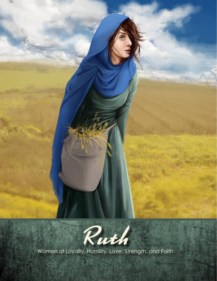

Woman of Loyalty, Humility, Love, Strength, and Faith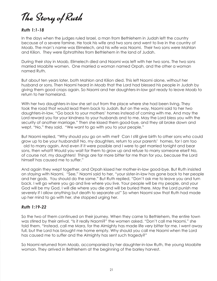The Story of Ruth

## *Ruth 1:1-18*

In the days when the judges ruled Israel, a man from Bethlehem in Judah left the country because of a severe famine. He took his wife and two sons and went to live in the country of Moab. The man's name was Elimelech, and his wife was Naomi. Their two sons were Mahlan and Kilion. They were Ephrathites from Bethlehem in the land of Judah.

During their stay in Moab, Elimelech died and Naomi was left with her two sons. The two sons married Moabite women. One married a woman named Orpah, and the other a woman named Ruth.

But about ten years later, both Mahlon and Kilion died. This left Naomi alone, without her husband or sons. Then Naomi heard in Moab that the Lord had blessed his people in Judah by giving them good crops again. So Naomi and her daughters-in-law got ready to leave Moab to return to her homeland.

With her two daughters-in-law she set out from the place where she had been living. They took the road that would lead them back to Judah. But on the way, Naomi said to her two daughters-in-law, "Go back to your mothers' homes instead of coming with me. And may the Lord reward you for your kindness to your husbands and to me. May the Lord bless you with the security of another marriage." Then she kissed them good-bye, and they all broke down and wept. "No," they said. "We want to go with you to your people."

But Naomi replied, "Why should you go on with me? Can I still give birth to other sons who could grow up to be your husbands? No, my daughters, return to your parents' homes, for I am too old to marry again. And even if it were possible and I were to get married tonight and bear sons, then what? Would you wait for them to grow up and refuse to marry someone else? No, of course not, my daughters! Things are far more bitter for me than for you, because the Lord himself has caused me to suffer."

And again they wept together, and Orpah kissed her mother-in-law good-bye. But Ruth insisted on staying with Naomi. "See," Naomi said to her, "your sister-in-law has gone back to her people and her gods. You should do the same." But Ruth replied, "Don't ask me to leave you and turn back. I will go where you go and live where you live. Your people will be my people, and your God will be my God. I will die where you die and will be buried there. May the Lord punish me severely if I allow anything but death to separate us!" So when Naomi saw that Ruth had made up her mind to go with her, she stopped urging her.

#### *Ruth 1:19-22*

So the two of them continued on their journey. When they came to Bethlehem, the entire town was stirred by their arrival. "Is it really Naomi?" the women asked. "Don't call me Naomi," she told them. "Instead, call me Mara, for the Almighty has made life very bitter for me. I went away full, but the Lord has brought me home empty. Why should you call me Naomi when the Lord has caused me to suffer and the Almighty has sent such tragedy?"

So Naomi returned from Moab, accompanied by her daughter-in-law Ruth, the young Moabite woman. They arrived in Bethlehem at the beginning of the barley harvest.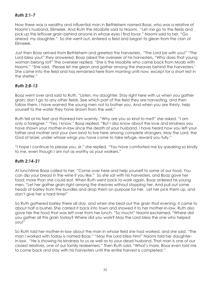## *Ruth 2:1-7*

Now there was a wealthy and influential man in Bethlehem named Boaz, who was a relative of Naomi's husband, Elimelek. And Ruth the Moabite said to Naomi. "Let me go to the fields and pick up the leftover grain behind anyone in whose eyes I find favor." Naomi said to her, "Go ahead, my daughter." So she went out, entered a field and began to glean from the clan of Elimelek.

Just then Boaz arrived from Bethlehem and greeted the harvesters. "The Lord be with you!" "The Lord bless you!" they answered. Boaz asked the overseer of his harvesters, "Who does that young woman belong to?" The overseer replied, "She is the Moabite who came back from Moab with Naomi." "She said, 'Please let me glean and gather among the sheaves behind the harvesters.' She came into the field and has remained here from morning until now, except for a short rest in the shelter."

## *Ruth 2:8-13*

Boaz went over and said to Ruth, "Listen, my daughter. Stay right here with us when you gather grain; don't go to any other fields. See which part of the field they are harvesting, and then follow them. I have warned the young men not to bother you. And when you are thirsty, help yourself to the water they have drawn from the well."

Ruth fell at his feet and thanked him warmly. "Why are you so kind to me?" she asked. "I am only a foreigner." "Yes, I know," Boaz replied. "But I also know about the love and kindness you have shown your mother-in-law since the death of your husband. I have heard how you left your father and mother and your own land to live here among complete strangers. May the Lord, the God of Israel, under whose wings you have come to take refuge, reward you fully."

"I hope I continue to please you, sir." she replied. "You have comforted me by speaking so kindly to me, even though I am not as worthy as your workers."

## *Ruth 2:14-21*

At lunchtime Boaz called to her, "Come over here and help yourself to some of our food. You can dip your bread in the wine if you like." So she sat with his harvesters, and Boaz gave her food; more than she could eat. When Ruth went back to work again, Boaz ordered his young men, "Let her gather grain right among the sheaves without stopping her. And pull out some heads of barley from the bundles and drop them on purpose for her. Let her pick them up, and don't give her a hard time!"

So Ruth gathered barley there all day, and when she beat out the grain that evening, it came to about half a bushel. She carried it back into town and showed it to her mother-in-law. Ruth also gave her the food that was left over from her lunch. "So much!" Naomi exclaimed. "Where did you gather all this grain today? Where did you work? May the Lord bless the one who helped you!"

So Ruth told her mother-in-law about the man in whose field she had worked, and she said, "The man I worked with today is named Boaz." "May the Lord bless him!" Naomi told her daughterin-law. "He is showing his kindness to us as well as to your dead husband. That man is one of our closest relatives, one of our family redeemers." Then Ruth said, "What's more, Boaz even told me to come back and stay with his harvesters until the entire harvest is completed."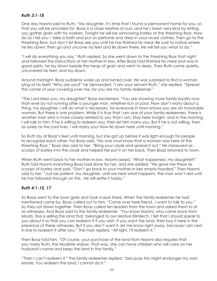## *Ruth 3:1-18*

One day Naomi said to Ruth, "My daughter, it's time that I found a permanent home for you, so that you will be provided for. Boaz is a close relative of ours, and he's been very kind by letting you gather grain with his workers. Tonight he will be winnowing barley at the threshing floor. Now do as I tell you – take a bath and put on perfume and dress in your nicest clothes. Then go to the threshing floor, but don't let Boaz see you until he has finished his meal. Be sure to notice where he lies down; then go and uncover his feet and lie down there. He will tell you what to do."

"I will do everything you say," Ruth replied. So she went down to the threshing floor that night and followed the instructions of her mother-in-law. After Boaz had finished his meal and was in good spirits, he lay down beside the heap of grain and went to sleep. Then Ruth came quietly, uncovered his feet, and lay down.

Around midnight, Boaz suddenly woke up and turned over. He was surprised to find a woman lying at his feet! "Who are you?" he demanded. "I am your servant Ruth," she replied. "Spread the corner of your covering over me, for you are my family redeemer."

"The Lord bless you, my daughter!" Boaz exclaimed. "You are showing more family loyalty now than ever by not running after a younger man, whether rich or poor. Now don't worry about a thing, my daughter. I will do what is necessary, for everyone in town knows you are an honorable woman. But there is one problem. While it is true that I am one of your family redeemers, there is another man who is more closely related to you than I am. Stay here tonight, and in the morning I will talk to him. If he is willing to redeem you, then let him marry you. But if he is not willing, then as surely as the Lord lives, I will marry you! Now lie down here until morning."

So Ruth lay at Boaz's feet until morning, but she got up before it was light enough for people to recognize each other. For Boaz said, "No one must know that a woman was here at the threshing floor." Boaz also said to her, "Bring your cloak and spread it out." He measured six scoops of barley into the cloak and helped her put it on her back. Then Boaz returned to town.

When Ruth went back to her mother-in-law, Naomi asked, "What happened, my daughter?" Ruth told Naomi everything Boaz had done for her, and she added, "He gave me these six scoops of barley and said, "Don't go back to your mother-in-law empty-handed." Then Naomi said to her, "Just be patient, my daughter, until we hear what happens. The man won't rest until he has followed through on this. He will settle it today."

## *Ruth 4:1-15, 17*

So Boaz went to the town gate and took a seat there. When the family redeemer he had mentioned came by, Boaz called out to him, "Come over here friend. I want to talk to you." So they sat down together. Then Boaz called ten leaders from the town and asked them to sit as witnesses. And Boaz said to the family redeemer, "You know Naomi, who came back from Moab. She is selling the land that belonged to our relative Elimilech. I felt that I should speak to you about it so that you can redeem it if you wish. If you want the land, then buy it here in the presence of these witnesses. But if you don't want it, let me know right away, because I am next in line to redeem it after you." The man replied, "All right, I'll redeem it."

Then Boaz told him, "Of course, your purchase of the land from Naomi also requires that you marry Ruth, the Moabite widow. That way, she can have children who will carry on her husband's name and keep the land in the family."

"Then I can't redeem it," the family redeemer replied, "because this might endanger my own estate. You redeem the land; I cannot do it."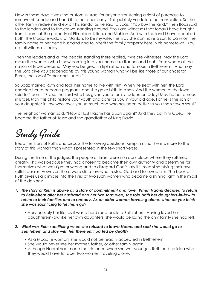Now In those days it was the custom in Israel for anyone transferring a right of purchase to remove his sandal and hand it to the other party. This publicly validated the transaction. So the other family redeemer drew off his sandal as he said to Boaz, "You buy the land." Then Boaz said to the leaders and to the crowd standing around, "You are witnesses that today I have bought from Naomi all the property of Elimelech, Kilion, and Mahlon. And with the land I have acquired Ruth, the Moabite widow of Mahlon, to be my wife. This way she can have a son to carry on the family name of her dead husband and to inherit the family property here in his hometown. You are all witnesses today."

Then the leaders and all the people standing there replied, "We are witnesses! May the Lord make the woman who is now coming into your home like Rachel and Leah, from whom all the nation of Israel descend! May you be great in Ephrathah and famous in Bethlehem. And may the Lord give you descendants by this young woman who will be like those of our ancestor Perez, the son of Tamar and Judah."

So Boaz married Ruth and took her home to live with him. When he slept with her, the Lord enabled her to become pregnant, and she gave birth to a son. And the women of the town said to Naomi, "Praise the Lord who has given you a family redeemer today! May he be famous in Israel. May this child restore your youth and care for you in your old age. For he is the son of your daughter-in-law who loves you so much and who has been better to you than seven sons!"

The neighbor woman said, "Now at last Naomi has a son again!" And they call him Obed. He became the father of Jesse and the grandfather of King David.

## Study Guide

Read the story of Ruth, and discuss the following questions. Keep in mind there is more to the story of this woman than what is presented in the few short verses.

During the time of the judges, the people of Israel were in a dark place where they suffered greatly. This was because they had chosen to become their own authority and determine for themselves what was right or wrong and to disregard God's law if it meant satisfying their own selfish desires. However, there were still a few who trusted God and followed him. The book of Ruth gives us a glimpse into the lives of two such women who became a shining light in the midst of the darkness.

- *1. The story of Ruth is above all a story of commitment and love. When Naomi decided to return to Bethlehem after her husband and her two sons died, she told both her daughters-in-law to return to their families and to remarry. As an older woman traveling alone, what do you think she was sacrificing to let them go?*
	- Very possibly her life, as it was a hard road back to Bethlehem. Having loved her daughters-in-law like her own daughters, she would be losing the only family she had left.

#### *2. What was Ruth sacrificing when she refused to leave Naomi and said she would go to Bethlehem and stay with her there until parted by death?*

- As a Moabite woman, she would not be readily accepted in Bethlehem.
- She would never see her mother, father, or other family again.
- Although Naomi had made the trip once when she was younger, Ruth had no idea what they would have to face, two women traveling alone.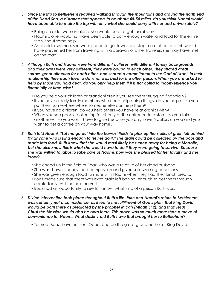- *3. Since the trip to Bethlehem required walking through the mountains and around the north end of the Dead Sea, a distance that appears to be about 40-50 miles, do you think Naomi would have been able to make the trip with only what she could carry with her and arrive safely?*
	- Being an older woman alone, she would be a target for robbers.
	- Naomi alone would not have been able to carry enough water and food for the entire trip without some help.
	- As an older woman, she would need to go slower and stop more often and this would have prevented her from traveling with a caravan or other travelers she may have met on the road.
- *4. Although Ruth and Naomi were from different cultures, with different family backgrounds, and their ages were very different, they were bound to each other. They shared great sorrow, great affection for each other, and shared a commitment to the God of Israel. In their relationship they each tried to do what was best for the other person. When you are asked for help by those you hold dear, do you only help them if it is not going to inconvenience you financially or time-wise?*
	- Do you help your children or grandchildren if you see them struggling financially?
	- If you have elderly family members who need help doing things, do you help or do you put them somewhere where someone else can help them?
	- If you have no children, do you help others you have relationships with?
	- When you see people collecting for charity at the entrance to a store, do you take another exit so you won't have to give because you only have 5 dollars on you and you want to get a coffee on your way home?
- *5. Ruth told Naomi, "Let me go out into the harvest fields to pick up the stalks of grain left behind by anyone who is kind enough to let me do it." The grain could be collected by the poor and made into food. Ruth knew that she would most likely be turned away for being a Moabite, but she also knew this is what she would have to do if they were going to survive. Because she was willing to labor to take care of Naomi, how was she blessed for her loyalty and her labor?*
	- She ended up in the field of Boaz, who was a relative of her dead husband.
	- She was shown kindness and compassion and given safe working conditions.
	- She was given enough food to share with Naomi when they had their lunch breaks.
	- Boaz made sure that there was extra grain left behind, enough to get them through comfortably until the next harvest.
	- Boaz had an opportunity to see for himself what kind of a person Ruth was.
- *6. Divine intervention took place throughout Ruth's life. Ruth and Naomi's return to Bethlehem was certainly not a coincidence, as it led to the fulfillment of God's plan; that King David would be born there as predicted by the prophet Micah (Micah 5: 2), and that Jesus Christ the Messiah would also be born there. This move was so much more than a move of convenience for Naomi. What destiny did Ruth have that brought her to Bethlehem?*
	- To meet Boaz, have her son, Obed, and be the great-grandmother of King David.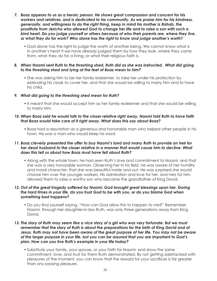- *7. Boaz appears to us as a heroic person. He shows great compassion and concern for his workers and relatives, and is dedicated to his community. As we praise him for his kindness, generosity, and willingness to do the right thing, keep in mind his mother is Rahab, the prostitute from Jericho who allowed God to change her life and to raise a son with such a kind heart. Do you judge yourself or others because of who their parents are, where they live, or what they do for work? Who alone has the right to know and judge another's worth?*
	- God alone has the right to judge the worth of another being. We cannot know what is in another's heart if we have already judged them by how they look, where they came from, what they do for a living, or what their religious faith is.

#### *8. When Naomi sent Ruth to the threshing shed, Ruth did as she was instructed. What did going to the threshing shed and lying at the feet of Boaz mean to him?*

• She was asking him to be her family redeemer, to take her under his protection by extending his cloak to cover her, and that she would be willing to marry him and to have his child.

## *9. What did going to the threshing shed mean for Ruth?*

• It meant that she would accept him as her family redeemer and that she would be willing to marry him.

#### *10. When Boaz said he would talk to the closer relative right away, Naomi told Ruth to have faith that Boaz would take care of it right away. What does this say about Boaz?*

• Boaz had a reputation as a generous and honorable man who helped other people in his town. He was a man who would keep his word.

#### *11. Boaz cleverly presented the offer to buy Naomi's land and marry Ruth to provide an heir for her dead husband to the closer relative in a manner that would cause him to decline. What does this tell us about how Boaz must have felt about Ruth?*

• Along with the whole town, he had seen Ruth's love and commitment to Naomi, and that she was a very honorable woman. Observing her in his field, he was aware of her humility and moral character; that she was beautiful inside and out. He was surprised she would choose him over the younger workers. His admiration and love for her, and hers for him, allowed them to raise a worthy son who became the grandfather of King David.

#### *12. Out of the great tragedy suffered by Naomi, God brought great blessings upon her. During the hard times in your life, do you trust God to be with you, or do you blame God when something bad happens?*

• Do you find yourself saying, "How can God allow this to happen to me?" Remember, Naomi, through her daughter-in-law Ruth, was only three generations away from King David.

#### *13. The story of Ruth may seem like a nice story of a girl who was very fortunate. But we must*  remember that the story of Ruth is about the preparations for the birth of King David and of *Jesus. Ruth may not have been aware of the great purpose of her life. You may not be aware of the larger purpose in your life, but you can be assured that you are important to God's plan. How can you live Ruth's example in your life today?*

• Substitute your family, your spouse, or your faith for Naomi, and show the same commitment, love, and trust for them Ruth demonstrated. By not getting sidetracked with pleasures of the moment, you can know that the reward for your sacrifices is far greater than any passing pleasure.